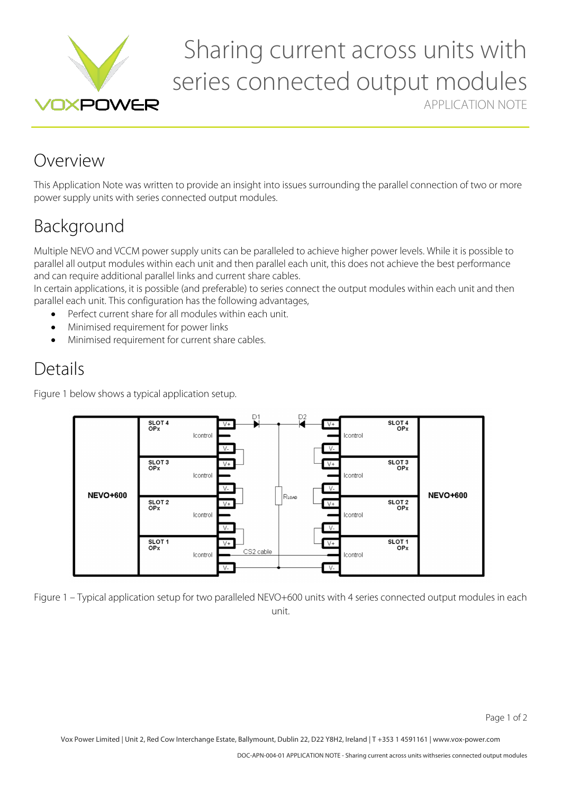

# Sharing current across units with series connected output modules APPLICATION NOTE

### Overview

This Application Note was written to provide an insight into issues surrounding the parallel connection of two or more power supply units with series connected output modules.

## Background

Multiple NEVO and VCCM power supply units can be paralleled to achieve higher power levels. While it is possible to parallel all output modules within each unit and then parallel each unit, this does not achieve the best performance and can require additional parallel links and current share cables.

In certain applications, it is possible (and preferable) to series connect the output modules within each unit and then parallel each unit. This configuration has the following advantages,

- Perfect current share for all modules within each unit.
- Minimised requirement for power links
- Minimised requirement for current share cables.

### Details

Figure 1 below shows a typical application setup.



Figure 1 – Typical application setup for two paralleled NEVO+600 units with 4 series connected output modules in each unit.

Vox Power Limited | Unit 2, Red Cow Interchange Estate, Ballymount, Dublin 22, D22 Y8H2, Ireland | T +353 1 4591161 | www.vox-power.com